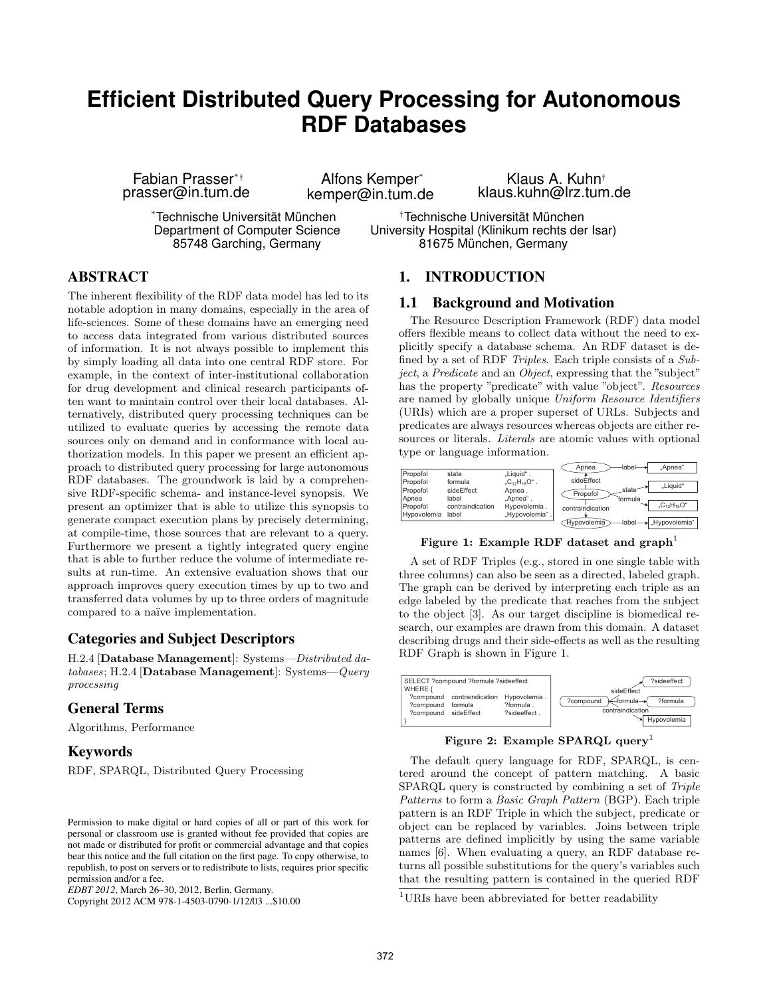# **Efficient Distributed Query Processing for Autonomous RDF Databases**

Fabian Prasser\*† prasser@in.tum.de

Alfons Kemper\* kemper@in.tum.de

Klaus A. Kuhn† klaus.kuhn@lrz.tum.de

\*Technische Universität München †Technische Universität München University Hospital (Klinikum rechts der Isar) 85748 Garching, Germany 81675 München, Germany

# ABSTRACT

The inherent flexibility of the RDF data model has led to its notable adoption in many domains, especially in the area of life-sciences. Some of these domains have an emerging need to access data integrated from various distributed sources of information. It is not always possible to implement this by simply loading all data into one central RDF store. For example, in the context of inter-institutional collaboration for drug development and clinical research participants often want to maintain control over their local databases. Alternatively, distributed query processing techniques can be utilized to evaluate queries by accessing the remote data sources only on demand and in conformance with local authorization models. In this paper we present an efficient approach to distributed query processing for large autonomous RDF databases. The groundwork is laid by a comprehensive RDF-specific schema- and instance-level synopsis. We present an optimizer that is able to utilize this synopsis to generate compact execution plans by precisely determining, at compile-time, those sources that are relevant to a query. Furthermore we present a tightly integrated query engine that is able to further reduce the volume of intermediate results at run-time. An extensive evaluation shows that our approach improves query execution times by up to two and transferred data volumes by up to three orders of magnitude compared to a naïve implementation.

# Categories and Subject Descriptors

H.2.4 [Database Management]: Systems—Distributed databases; H.2.4 [Database Management]: Systems—Query processing

# General Terms

Algorithms, Performance

# Keywords

RDF, SPARQL, Distributed Query Processing

Copyright 2012 ACM 978-1-4503-0790-1/12/03 ...\$10.00

# 1. INTRODUCTION

## 1.1 Background and Motivation

The Resource Description Framework (RDF) data model offers flexible means to collect data without the need to explicitly specify a database schema. An RDF dataset is defined by a set of RDF Triples. Each triple consists of a Subject, a Predicate and an Object, expressing that the "subject" has the property "predicate" with value "object". Resources are named by globally unique Uniform Resource Identifiers (URIs) which are a proper superset of URLs. Subjects and predicates are always resources whereas objects are either resources or literals. *Literals* are atomic values with optional type or language information.

|                      |                       |                                | Apnea            | -label-       | "Apnea"            |
|----------------------|-----------------------|--------------------------------|------------------|---------------|--------------------|
| Propofol             | state                 | "Liquid".                      |                  |               |                    |
| Propofol<br>Propofol | formula<br>sideEffect | $.C_{12}H_{18}O^*$ .<br>Apnea. | sideEffect       | $_$ state $-$ | "Liquid"           |
| Apnea                | label                 | "Apnea".                       | Propofol         | formula       |                    |
| Propofol             | contraindication      | Hypovolemia.                   | contraindication |               | $.C_{12}H_{18}O''$ |
| Hypovolemia          | label                 | "Hypovolemia"                  |                  |               |                    |
|                      |                       |                                | Hypovolemia      | -label-       | Hypovolemia"       |

Figure 1: Example RDF dataset and graph<sup>1</sup>

A set of RDF Triples (e.g., stored in one single table with three columns) can also be seen as a directed, labeled graph. The graph can be derived by interpreting each triple as an edge labeled by the predicate that reaches from the subject to the object [3]. As our target discipline is biomedical research, our examples are drawn from this domain. A dataset describing drugs and their side-effects as well as the resulting RDF Graph is shown in Figure 1.



#### Figure 2: Example SPARQL query<sup>1</sup>

The default query language for RDF, SPARQL, is centered around the concept of pattern matching. A basic SPARQL query is constructed by combining a set of Triple Patterns to form a Basic Graph Pattern (BGP). Each triple pattern is an RDF Triple in which the subject, predicate or object can be replaced by variables. Joins between triple patterns are defined implicitly by using the same variable names [6]. When evaluating a query, an RDF database returns all possible substitutions for the query's variables such that the resulting pattern is contained in the queried RDF

Permission to make digital or hard copies of all or part of this work for personal or classroom use is granted without fee provided that copies are not made or distributed for profit or commercial advantage and that copies bear this notice and the full citation on the first page. To copy otherwise, to republish, to post on servers or to redistribute to lists, requires prior specific permission and/or a fee.

*EDBT 2012*, March 26–30, 2012, Berlin, Germany.

<sup>&</sup>lt;sup>1</sup>URIs have been abbreviated for better readability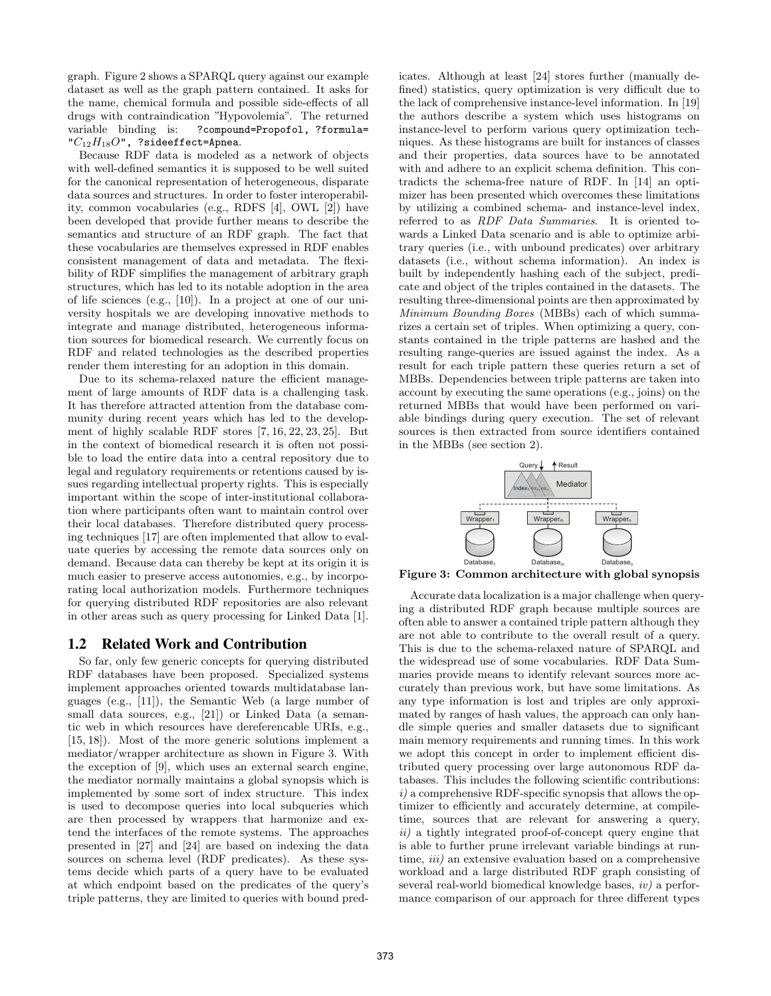graph. Figure 2 shows a SPARQL query against our example dataset as well as the graph pattern contained. It asks for the name, chemical formula and possible side-effects of all drugs with contraindication "Hypovolemia". The returned variable binding is: ?compound=Propofol, ?formula= " $C_{12}H_{18}O$ ", ?sideeffect=Apnea.

Because RDF data is modeled as a network of objects with well-defined semantics it is supposed to be well suited for the canonical representation of heterogeneous, disparate data sources and structures. In order to foster interoperability, common vocabularies (e.g., RDFS [4], OWL [2]) have been developed that provide further means to describe the semantics and structure of an RDF graph. The fact that these vocabularies are themselves expressed in RDF enables consistent management of data and metadata. The flexibility of RDF simplifies the management of arbitrary graph structures, which has led to its notable adoption in the area of life sciences (e.g., [10]). In a project at one of our university hospitals we are developing innovative methods to integrate and manage distributed, heterogeneous information sources for biomedical research. We currently focus on RDF and related technologies as the described properties render them interesting for an adoption in this domain.

Due to its schema-relaxed nature the efficient management of large amounts of RDF data is a challenging task. It has therefore attracted attention from the database community during recent years which has led to the development of highly scalable RDF stores [7, 16, 22, 23, 25]. But in the context of biomedical research it is often not possible to load the entire data into a central repository due to legal and regulatory requirements or retentions caused by issues regarding intellectual property rights. This is especially important within the scope of inter-institutional collaboration where participants often want to maintain control over their local databases. Therefore distributed query processing techniques [17] are often implemented that allow to evaluate queries by accessing the remote data sources only on demand. Because data can thereby be kept at its origin it is much easier to preserve access autonomies, e.g., by incorporating local authorization models. Furthermore techniques for querying distributed RDF repositories are also relevant in other areas such as query processing for Linked Data [1].

## 1.2 Related Work and Contribution

So far, only few generic concepts for querying distributed RDF databases have been proposed. Specialized systems implement approaches oriented towards multidatabase languages (e.g., [11]), the Semantic Web (a large number of small data sources, e.g., [21]) or Linked Data (a semantic web in which resources have dereferencable URIs, e.g., [15, 18]). Most of the more generic solutions implement a mediator/wrapper architecture as shown in Figure 3. With the exception of [9], which uses an external search engine, the mediator normally maintains a global synopsis which is implemented by some sort of index structure. This index is used to decompose queries into local subqueries which are then processed by wrappers that harmonize and extend the interfaces of the remote systems. The approaches presented in [27] and [24] are based on indexing the data sources on schema level (RDF predicates). As these systems decide which parts of a query have to be evaluated at which endpoint based on the predicates of the query's triple patterns, they are limited to queries with bound predicates. Although at least [24] stores further (manually defined) statistics, query optimization is very difficult due to the lack of comprehensive instance-level information. In [19] the authors describe a system which uses histograms on instance-level to perform various query optimization techniques. As these histograms are built for instances of classes and their properties, data sources have to be annotated with and adhere to an explicit schema definition. This contradicts the schema-free nature of RDF. In [14] an optimizer has been presented which overcomes these limitations by utilizing a combined schema- and instance-level index, referred to as RDF Data Summaries. It is oriented towards a Linked Data scenario and is able to optimize arbitrary queries (i.e., with unbound predicates) over arbitrary datasets (i.e., without schema information). An index is built by independently hashing each of the subject, predicate and object of the triples contained in the datasets. The resulting three-dimensional points are then approximated by Minimum Bounding Boxes (MBBs) each of which summarizes a certain set of triples. When optimizing a query, constants contained in the triple patterns are hashed and the resulting range-queries are issued against the index. As a result for each triple pattern these queries return a set of MBBs. Dependencies between triple patterns are taken into account by executing the same operations (e.g., joins) on the returned MBBs that would have been performed on variable bindings during query execution. The set of relevant sources is then extracted from source identifiers contained in the MBBs (see section 2).



Figure 3: Common architecture with global synopsis

Accurate data localization is a major challenge when querying a distributed RDF graph because multiple sources are often able to answer a contained triple pattern although they are not able to contribute to the overall result of a query. This is due to the schema-relaxed nature of SPARQL and the widespread use of some vocabularies. RDF Data Summaries provide means to identify relevant sources more accurately than previous work, but have some limitations. As any type information is lost and triples are only approximated by ranges of hash values, the approach can only handle simple queries and smaller datasets due to significant main memory requirements and running times. In this work we adopt this concept in order to implement efficient distributed query processing over large autonomous RDF databases. This includes the following scientific contributions:  $i)$  a comprehensive RDF-specific synopsis that allows the optimizer to efficiently and accurately determine, at compiletime, sources that are relevant for answering a query, ii) a tightly integrated proof-of-concept query engine that is able to further prune irrelevant variable bindings at runtime, *iii*) an extensive evaluation based on a comprehensive workload and a large distributed RDF graph consisting of several real-world biomedical knowledge bases, iv) a performance comparison of our approach for three different types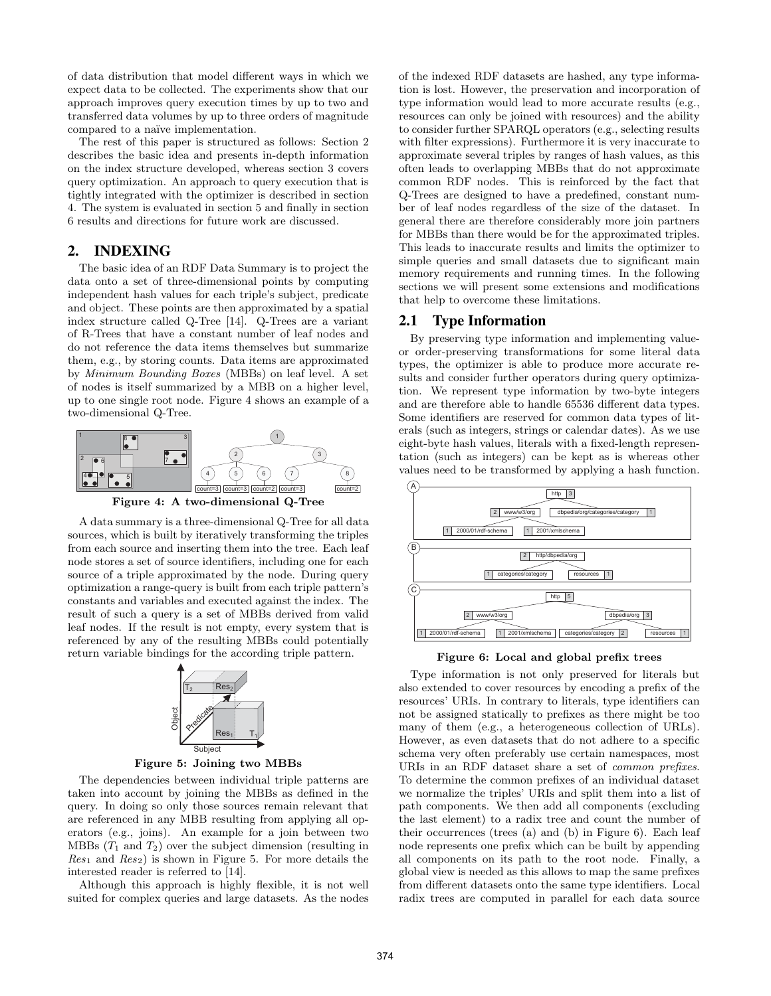of data distribution that model different ways in which we expect data to be collected. The experiments show that our approach improves query execution times by up to two and transferred data volumes by up to three orders of magnitude compared to a naïve implementation.

The rest of this paper is structured as follows: Section 2 describes the basic idea and presents in-depth information on the index structure developed, whereas section 3 covers query optimization. An approach to query execution that is tightly integrated with the optimizer is described in section 4. The system is evaluated in section 5 and finally in section 6 results and directions for future work are discussed.

# 2. INDEXING

The basic idea of an RDF Data Summary is to project the data onto a set of three-dimensional points by computing independent hash values for each triple's subject, predicate and object. These points are then approximated by a spatial index structure called Q-Tree [14]. Q-Trees are a variant of R-Trees that have a constant number of leaf nodes and do not reference the data items themselves but summarize them, e.g., by storing counts. Data items are approximated by Minimum Bounding Boxes (MBBs) on leaf level. A set of nodes is itself summarized by a MBB on a higher level, up to one single root node. Figure 4 shows an example of a two-dimensional Q-Tree.



Figure 4: A two-dimensional Q-Tree

A data summary is a three-dimensional Q-Tree for all data sources, which is built by iteratively transforming the triples from each source and inserting them into the tree. Each leaf node stores a set of source identifiers, including one for each source of a triple approximated by the node. During query optimization a range-query is built from each triple pattern's constants and variables and executed against the index. The result of such a query is a set of MBBs derived from valid leaf nodes. If the result is not empty, every system that is referenced by any of the resulting MBBs could potentially return variable bindings for the according triple pattern.



Figure 5: Joining two MBBs

The dependencies between individual triple patterns are taken into account by joining the MBBs as defined in the query. In doing so only those sources remain relevant that are referenced in any MBB resulting from applying all operators (e.g., joins). An example for a join between two MBBs  $(T_1 \text{ and } T_2)$  over the subject dimension (resulting in  $Res<sub>1</sub>$  and  $Res<sub>2</sub>$ ) is shown in Figure 5. For more details the interested reader is referred to [14].

Although this approach is highly flexible, it is not well suited for complex queries and large datasets. As the nodes of the indexed RDF datasets are hashed, any type information is lost. However, the preservation and incorporation of type information would lead to more accurate results (e.g., resources can only be joined with resources) and the ability to consider further SPARQL operators (e.g., selecting results with filter expressions). Furthermore it is very inaccurate to approximate several triples by ranges of hash values, as this often leads to overlapping MBBs that do not approximate common RDF nodes. This is reinforced by the fact that Q-Trees are designed to have a predefined, constant number of leaf nodes regardless of the size of the dataset. In general there are therefore considerably more join partners for MBBs than there would be for the approximated triples. This leads to inaccurate results and limits the optimizer to simple queries and small datasets due to significant main memory requirements and running times. In the following sections we will present some extensions and modifications that help to overcome these limitations.

#### 2.1 Type Information

By preserving type information and implementing valueor order-preserving transformations for some literal data types, the optimizer is able to produce more accurate results and consider further operators during query optimization. We represent type information by two-byte integers and are therefore able to handle 65536 different data types. Some identifiers are reserved for common data types of literals (such as integers, strings or calendar dates). As we use eight-byte hash values, literals with a fixed-length representation (such as integers) can be kept as is whereas other values need to be transformed by applying a hash function.



#### Figure 6: Local and global prefix trees

Type information is not only preserved for literals but also extended to cover resources by encoding a prefix of the resources' URIs. In contrary to literals, type identifiers can not be assigned statically to prefixes as there might be too many of them (e.g., a heterogeneous collection of URLs). However, as even datasets that do not adhere to a specific schema very often preferably use certain namespaces, most URIs in an RDF dataset share a set of common prefixes. To determine the common prefixes of an individual dataset we normalize the triples' URIs and split them into a list of path components. We then add all components (excluding the last element) to a radix tree and count the number of their occurrences (trees (a) and (b) in Figure 6). Each leaf node represents one prefix which can be built by appending all components on its path to the root node. Finally, a global view is needed as this allows to map the same prefixes from different datasets onto the same type identifiers. Local radix trees are computed in parallel for each data source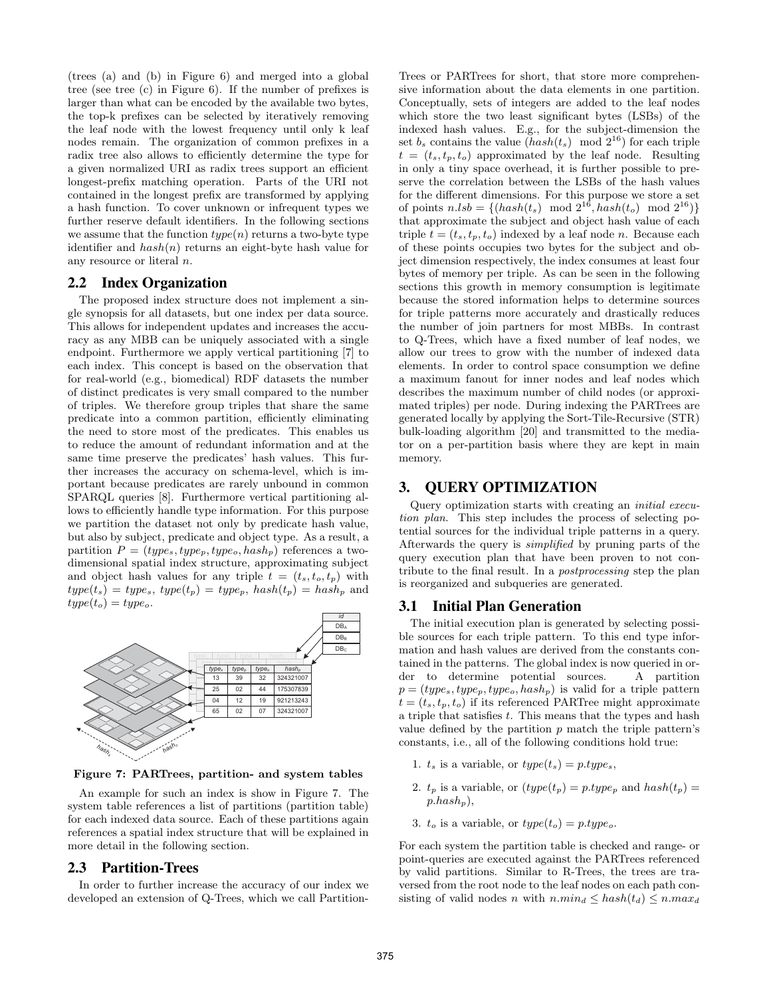(trees (a) and (b) in Figure 6) and merged into a global tree (see tree (c) in Figure 6). If the number of prefixes is larger than what can be encoded by the available two bytes, the top-k prefixes can be selected by iteratively removing the leaf node with the lowest frequency until only k leaf nodes remain. The organization of common prefixes in a radix tree also allows to efficiently determine the type for a given normalized URI as radix trees support an efficient longest-prefix matching operation. Parts of the URI not contained in the longest prefix are transformed by applying a hash function. To cover unknown or infrequent types we further reserve default identifiers. In the following sections we assume that the function  $type(n)$  returns a two-byte type identifier and  $hash(n)$  returns an eight-byte hash value for any resource or literal n.

# 2.2 Index Organization

The proposed index structure does not implement a single synopsis for all datasets, but one index per data source. This allows for independent updates and increases the accuracy as any MBB can be uniquely associated with a single endpoint. Furthermore we apply vertical partitioning [7] to each index. This concept is based on the observation that for real-world (e.g., biomedical) RDF datasets the number of distinct predicates is very small compared to the number of triples. We therefore group triples that share the same predicate into a common partition, efficiently eliminating the need to store most of the predicates. This enables us to reduce the amount of redundant information and at the same time preserve the predicates' hash values. This further increases the accuracy on schema-level, which is important because predicates are rarely unbound in common SPARQL queries [8]. Furthermore vertical partitioning allows to efficiently handle type information. For this purpose we partition the dataset not only by predicate hash value, but also by subject, predicate and object type. As a result, a partition  $P = (type_s, type_p, type_o, hash_p)$  references a twodimensional spatial index structure, approximating subject and object hash values for any triple  $t = (t_s, t_o, t_p)$  with  $type(t_s) = type_s$ ,  $type(t_p) = type_p$ ,  $hash(t_p) = hash_p$  and  $type(t_o) = type_o.$ 



Figure 7: PARTrees, partition- and system tables

An example for such an index is show in Figure 7. The system table references a list of partitions (partition table) for each indexed data source. Each of these partitions again references a spatial index structure that will be explained in more detail in the following section.

## 2.3 Partition-Trees

In order to further increase the accuracy of our index we developed an extension of Q-Trees, which we call PartitionTrees or PARTrees for short, that store more comprehensive information about the data elements in one partition. Conceptually, sets of integers are added to the leaf nodes which store the two least significant bytes (LSBs) of the indexed hash values. E.g., for the subject-dimension the set  $b_s$  contains the value  $(hash(t_s) \mod 2^{16})$  for each triple  $t = (t_s, t_p, t_o)$  approximated by the leaf node. Resulting in only a tiny space overhead, it is further possible to preserve the correlation between the LSBs of the hash values for the different dimensions. For this purpose we store a set of points  $n.lsb = \{(hash(t_s) \mod 2^{16}, hash(t_o) \mod 2^{16})\}$ that approximate the subject and object hash value of each triple  $t = (t_s, t_p, t_o)$  indexed by a leaf node *n*. Because each of these points occupies two bytes for the subject and object dimension respectively, the index consumes at least four bytes of memory per triple. As can be seen in the following sections this growth in memory consumption is legitimate because the stored information helps to determine sources for triple patterns more accurately and drastically reduces the number of join partners for most MBBs. In contrast to Q-Trees, which have a fixed number of leaf nodes, we allow our trees to grow with the number of indexed data elements. In order to control space consumption we define a maximum fanout for inner nodes and leaf nodes which describes the maximum number of child nodes (or approximated triples) per node. During indexing the PARTrees are generated locally by applying the Sort-Tile-Recursive (STR) bulk-loading algorithm [20] and transmitted to the mediator on a per-partition basis where they are kept in main memory.

## 3. QUERY OPTIMIZATION

Query optimization starts with creating an *initial execu*tion plan. This step includes the process of selecting potential sources for the individual triple patterns in a query. Afterwards the query is simplified by pruning parts of the query execution plan that have been proven to not contribute to the final result. In a postprocessing step the plan is reorganized and subqueries are generated.

## 3.1 Initial Plan Generation

The initial execution plan is generated by selecting possible sources for each triple pattern. To this end type information and hash values are derived from the constants contained in the patterns. The global index is now queried in order to determine potential sources. A partition  $p = (type_s, type_p, type_o, hash_p)$  is valid for a triple pattern  $t = (t_s, t_p, t_o)$  if its referenced PARTree might approximate a triple that satisfies t. This means that the types and hash value defined by the partition  $p$  match the triple pattern's constants, i.e., all of the following conditions hold true:

- 1.  $t_s$  is a variable, or  $type(t_s) = p_type_s$ ,
- 2.  $t_p$  is a variable, or  $(type(t_p) = p_type_p$  and  $hash(t_p) =$  $p.hash_p$ ),
- 3.  $t_o$  is a variable, or  $type(t_o) = p_type_o$ .

For each system the partition table is checked and range- or point-queries are executed against the PARTrees referenced by valid partitions. Similar to R-Trees, the trees are traversed from the root node to the leaf nodes on each path consisting of valid nodes n with  $n.min_d \leq hash(t_d) \leq n.max_d$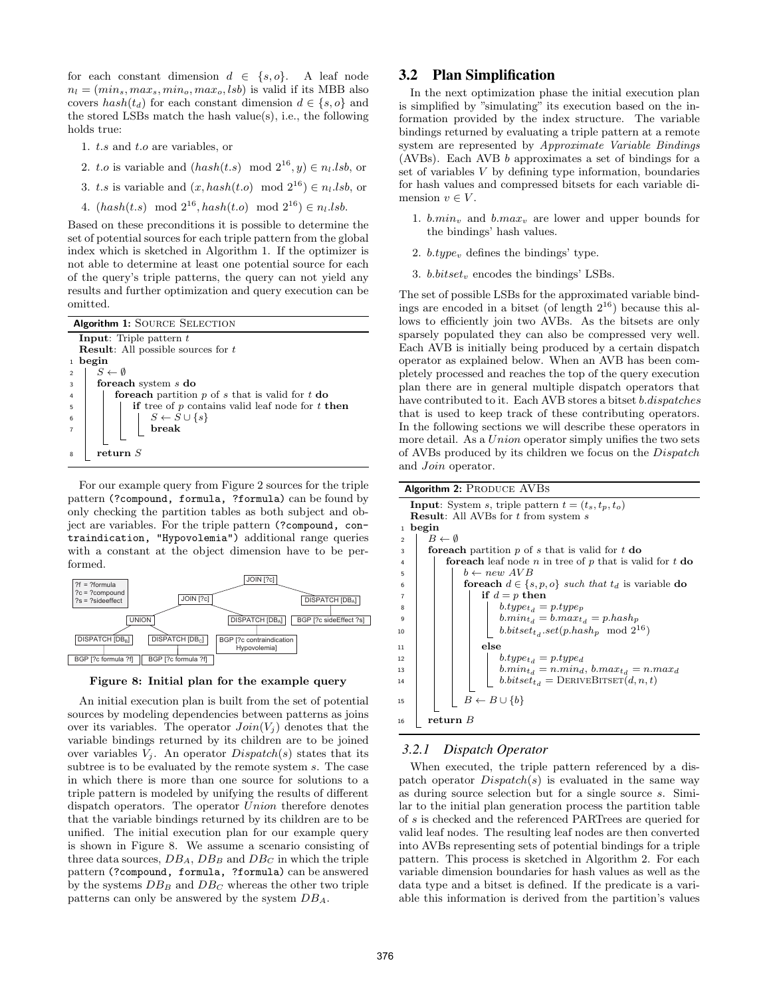for each constant dimension  $d \in \{s, o\}$ . A leaf node  $n_l = (min_s, max_s, min_o, max_o, lsb)$  is valid if its MBB also covers  $hash(t_d)$  for each constant dimension  $d \in \{s, o\}$  and the stored LSBs match the hash value(s), i.e., the following holds true:

- 1. t.s and t.o are variables, or
- 2. t.o is variable and  $(hash(t.s) \mod 2^{16}, y) \in n_l.lsb$ , or
- 3. t.s is variable and  $(x, hash(t.o) \mod 2^{16}) \in n_l.lsb$ , or
- 4.  $(hash(t.s) \mod 2^{16}, hash(t.o) \mod 2^{16}) \in n_l.lsb.$

Based on these preconditions it is possible to determine the set of potential sources for each triple pattern from the global index which is sketched in Algorithm 1. If the optimizer is not able to determine at least one potential source for each of the query's triple patterns, the query can not yield any results and further optimization and query execution can be omitted.

| <b>Algorithm 1: SOURCE SELECTION</b>                                             |  |  |  |  |
|----------------------------------------------------------------------------------|--|--|--|--|
| <b>Input:</b> Triple pattern $t$                                                 |  |  |  |  |
| <b>Result:</b> All possible sources for $t$                                      |  |  |  |  |
| begin                                                                            |  |  |  |  |
| $S \leftarrow \emptyset$                                                         |  |  |  |  |
| foreach system s do<br>3                                                         |  |  |  |  |
| <b>for each</b> partition p of s that is valid for t <b>do</b><br>$\overline{4}$ |  |  |  |  |
| <b>if</b> tree of p contains valid leaf node for t then<br>5                     |  |  |  |  |
| $S \leftarrow S \cup \{s\}$<br>break<br>6                                        |  |  |  |  |
|                                                                                  |  |  |  |  |
|                                                                                  |  |  |  |  |
| return S                                                                         |  |  |  |  |

For our example query from Figure 2 sources for the triple pattern (?compound, formula, ?formula) can be found by only checking the partition tables as both subject and object are variables. For the triple pattern (?compound, contraindication, "Hypovolemia") additional range queries with a constant at the object dimension have to be performed.



Figure 8: Initial plan for the example query

An initial execution plan is built from the set of potential sources by modeling dependencies between patterns as joins over its variables. The operator  $Join(V<sub>i</sub>)$  denotes that the variable bindings returned by its children are to be joined over variables  $V_i$ . An operator *Dispatch(s)* states that its subtree is to be evaluated by the remote system s. The case in which there is more than one source for solutions to a triple pattern is modeled by unifying the results of different dispatch operators. The operator Union therefore denotes that the variable bindings returned by its children are to be unified. The initial execution plan for our example query is shown in Figure 8. We assume a scenario consisting of three data sources,  $DB_A$ ,  $DB_B$  and  $DB_C$  in which the triple pattern (?compound, formula, ?formula) can be answered by the systems  $DB_B$  and  $DB_C$  whereas the other two triple patterns can only be answered by the system DBA.

# 3.2 Plan Simplification

In the next optimization phase the initial execution plan is simplified by "simulating" its execution based on the information provided by the index structure. The variable bindings returned by evaluating a triple pattern at a remote system are represented by Approximate Variable Bindings (AVBs). Each AVB b approximates a set of bindings for a set of variables  $V$  by defining type information, boundaries for hash values and compressed bitsets for each variable dimension  $v \in V$ .

- 1.  $b.min_v$  and  $b.max_v$  are lower and upper bounds for the bindings' hash values.
- 2.  $b.type_v$  defines the bindings' type.
- 3. b.bitset<sub>v</sub> encodes the bindings' LSBs.

The set of possible LSBs for the approximated variable bindings are encoded in a bitset (of length  $2^{16}$ ) because this allows to efficiently join two AVBs. As the bitsets are only sparsely populated they can also be compressed very well. Each AVB is initially being produced by a certain dispatch operator as explained below. When an AVB has been completely processed and reaches the top of the query execution plan there are in general multiple dispatch operators that have contributed to it. Each AVB stores a bitset b.dispatches that is used to keep track of these contributing operators. In the following sections we will describe these operators in more detail. As a  $Union$  operator simply unifies the two sets of AVBs produced by its children we focus on the Dispatch and Join operator.

| <b>Algorithm 2: PRODUCE AVBS</b>                                                   |
|------------------------------------------------------------------------------------|
| <b>Input</b> : System s, triple pattern $t = (t_s, t_p, t_o)$                      |
| <b>Result:</b> All AVBs for t from system s                                        |
| begin<br>$\mathbf{1}$                                                              |
| $B \leftarrow \emptyset$<br>$\mathfrak{D}$                                         |
| for each partition $p$ of $s$ that is valid for $t$ do<br>3                        |
| <b>for each</b> leaf node n in tree of p that is valid for t <b>do</b><br>4        |
| $b \leftarrow new AVB$<br>5                                                        |
| <b>for<br/>each</b> $d \in \{s, p, o\}$ such that $t_d$ is variable <b>do</b><br>6 |
| if $d = p$ then<br>$\overline{7}$                                                  |
| $b. type_{t_d} = p. type_p$<br>8                                                   |
| $b.min_{t_d} = b.max_{t_d} = p.hash_p$<br>9                                        |
| b.bitset <sub>t,d</sub> .set(p.hash <sub>p</sub> mod $2^{16}$ )<br>10              |
| else<br>11                                                                         |
| $b. type_{t_d} = p. type_d$<br>12                                                  |
| $b.min_{t_d} = n.min_d, b.max_{t_d} = n.max_d$<br>13                               |
| $b.bitset_{t_d} = \text{DERIVEBITSET}(d, n, t)$<br>14                              |
| $B \leftarrow B \cup \{b\}$<br>15                                                  |
|                                                                                    |
| ${\bf return} \; B$<br>16                                                          |

# *3.2.1 Dispatch Operator*

When executed, the triple pattern referenced by a dispatch operator  $Dispatch(s)$  is evaluated in the same way as during source selection but for a single source s. Similar to the initial plan generation process the partition table of s is checked and the referenced PARTrees are queried for valid leaf nodes. The resulting leaf nodes are then converted into AVBs representing sets of potential bindings for a triple pattern. This process is sketched in Algorithm 2. For each variable dimension boundaries for hash values as well as the data type and a bitset is defined. If the predicate is a variable this information is derived from the partition's values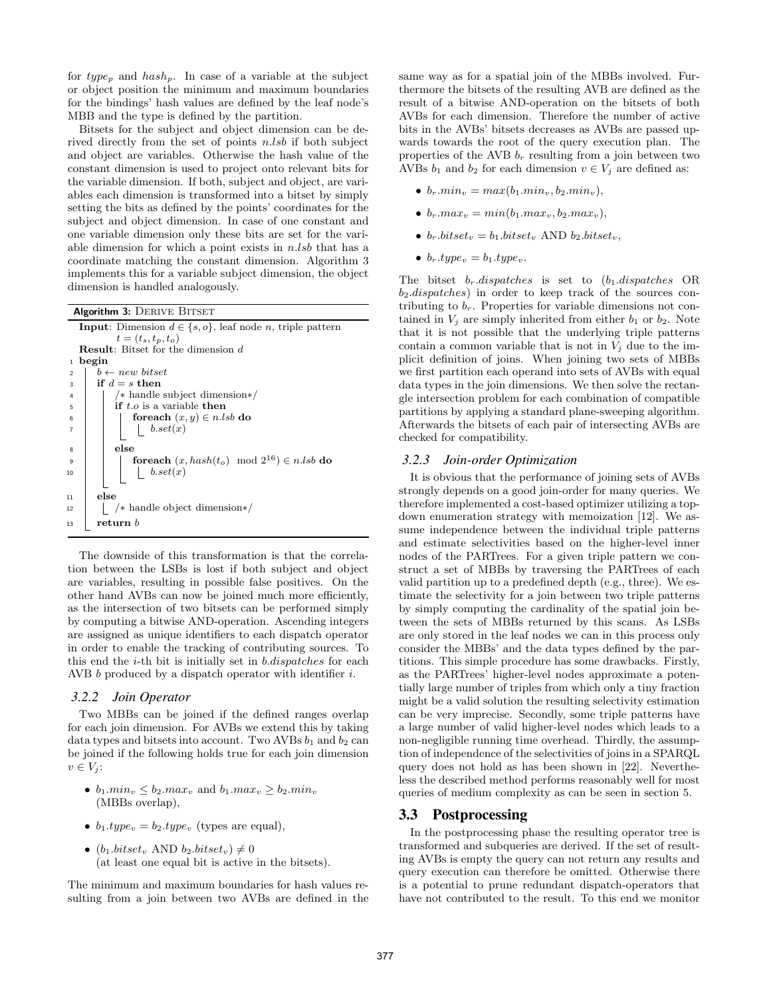for  $type_p$  and  $hash_p$ . In case of a variable at the subject or object position the minimum and maximum boundaries for the bindings' hash values are defined by the leaf node's MBB and the type is defined by the partition.

Bitsets for the subject and object dimension can be derived directly from the set of points n.lsb if both subject and object are variables. Otherwise the hash value of the constant dimension is used to project onto relevant bits for the variable dimension. If both, subject and object, are variables each dimension is transformed into a bitset by simply setting the bits as defined by the points' coordinates for the subject and object dimension. In case of one constant and one variable dimension only these bits are set for the variable dimension for which a point exists in  $nlsb$  that has a coordinate matching the constant dimension. Algorithm 3 implements this for a variable subject dimension, the object dimension is handled analogously.

Algorithm 3: DERIVE BITSET **Input:** Dimension  $d \in \{s, o\}$ , leaf node *n*, triple pattern  $t = (t_s, t_p, t_o)$ Result: Bitset for the dimension  $\boldsymbol{d}$ <sup>1</sup> begin 2  $b \leftarrow new~bitset$  $3 \mid \text{if } d = s \text{ then}$ <sup>4</sup> /∗ handle subject dimension∗/  $\begin{array}{c|c} 5 \end{array}$  if t.o is a variable then 6 **for in** foreach  $(x, y) \in n.lsb$  do  $7 \mid | \cdot |$  b.set $(x)$  $\frac{1}{8}$  else 9  $\vert$  foreach  $(x, hash(t_o) \mod 2^{16}) \in n.lsb$  do 10  $\vert$   $\vert$   $\vert$   $\vert$   $b.set(x)$ <sup>11</sup> else <sup>12</sup> /∗ handle object dimension∗/  $_{13}$  return b

The downside of this transformation is that the correlation between the LSBs is lost if both subject and object are variables, resulting in possible false positives. On the other hand AVBs can now be joined much more efficiently, as the intersection of two bitsets can be performed simply by computing a bitwise AND-operation. Ascending integers are assigned as unique identifiers to each dispatch operator in order to enable the tracking of contributing sources. To this end the i-th bit is initially set in b.dispatches for each AVB b produced by a dispatch operator with identifier i.

#### *3.2.2 Join Operator*

Two MBBs can be joined if the defined ranges overlap for each join dimension. For AVBs we extend this by taking data types and bitsets into account. Two AVBs  $b_1$  and  $b_2$  can be joined if the following holds true for each join dimension  $v \in V_i$ :

- $b_1.min_v \leq b_2.max_v$  and  $b_1.max_v \geq b_2.min_v$ (MBBs overlap),
- $b_1.type_v = b_2.type_v$  (types are equal),
- (b<sub>1</sub>.bitset<sub>v</sub> AND b<sub>2</sub>.bitset<sub>v</sub>)  $\neq 0$ (at least one equal bit is active in the bitsets).

The minimum and maximum boundaries for hash values resulting from a join between two AVBs are defined in the same way as for a spatial join of the MBBs involved. Furthermore the bitsets of the resulting AVB are defined as the result of a bitwise AND-operation on the bitsets of both AVBs for each dimension. Therefore the number of active bits in the AVBs' bitsets decreases as AVBs are passed upwards towards the root of the query execution plan. The properties of the AVB  $b_r$  resulting from a join between two AVBs  $b_1$  and  $b_2$  for each dimension  $v \in V_i$  are defined as:

- $b_r.min_v = max(b_1.min_v, b_2.min_v),$
- $b_r.max_v = min(b_1.max_v, b_2.max_v).$
- $b_r.bitset_v = b_1.bitset_v$  AND  $b_2.bitset_v$ ,
- $b_r.type_v = b_1.type_v$ .

The bitset  $b_r.dis patches$  is set to  $(b_1.dis patches$  OR  $b_2$ .dispatches) in order to keep track of the sources contributing to  $b_r$ . Properties for variable dimensions not contained in  $V_i$  are simply inherited from either  $b_1$  or  $b_2$ . Note that it is not possible that the underlying triple patterns contain a common variable that is not in  $V_j$  due to the implicit definition of joins. When joining two sets of MBBs we first partition each operand into sets of AVBs with equal data types in the join dimensions. We then solve the rectangle intersection problem for each combination of compatible partitions by applying a standard plane-sweeping algorithm. Afterwards the bitsets of each pair of intersecting AVBs are checked for compatibility.

#### *3.2.3 Join-order Optimization*

It is obvious that the performance of joining sets of AVBs strongly depends on a good join-order for many queries. We therefore implemented a cost-based optimizer utilizing a topdown enumeration strategy with memoization [12]. We assume independence between the individual triple patterns and estimate selectivities based on the higher-level inner nodes of the PARTrees. For a given triple pattern we construct a set of MBBs by traversing the PARTrees of each valid partition up to a predefined depth (e.g., three). We estimate the selectivity for a join between two triple patterns by simply computing the cardinality of the spatial join between the sets of MBBs returned by this scans. As LSBs are only stored in the leaf nodes we can in this process only consider the MBBs' and the data types defined by the partitions. This simple procedure has some drawbacks. Firstly, as the PARTrees' higher-level nodes approximate a potentially large number of triples from which only a tiny fraction might be a valid solution the resulting selectivity estimation can be very imprecise. Secondly, some triple patterns have a large number of valid higher-level nodes which leads to a non-negligible running time overhead. Thirdly, the assumption of independence of the selectivities of joins in a SPARQL query does not hold as has been shown in [22]. Nevertheless the described method performs reasonably well for most queries of medium complexity as can be seen in section 5.

#### 3.3 Postprocessing

In the postprocessing phase the resulting operator tree is transformed and subqueries are derived. If the set of resulting AVBs is empty the query can not return any results and query execution can therefore be omitted. Otherwise there is a potential to prune redundant dispatch-operators that have not contributed to the result. To this end we monitor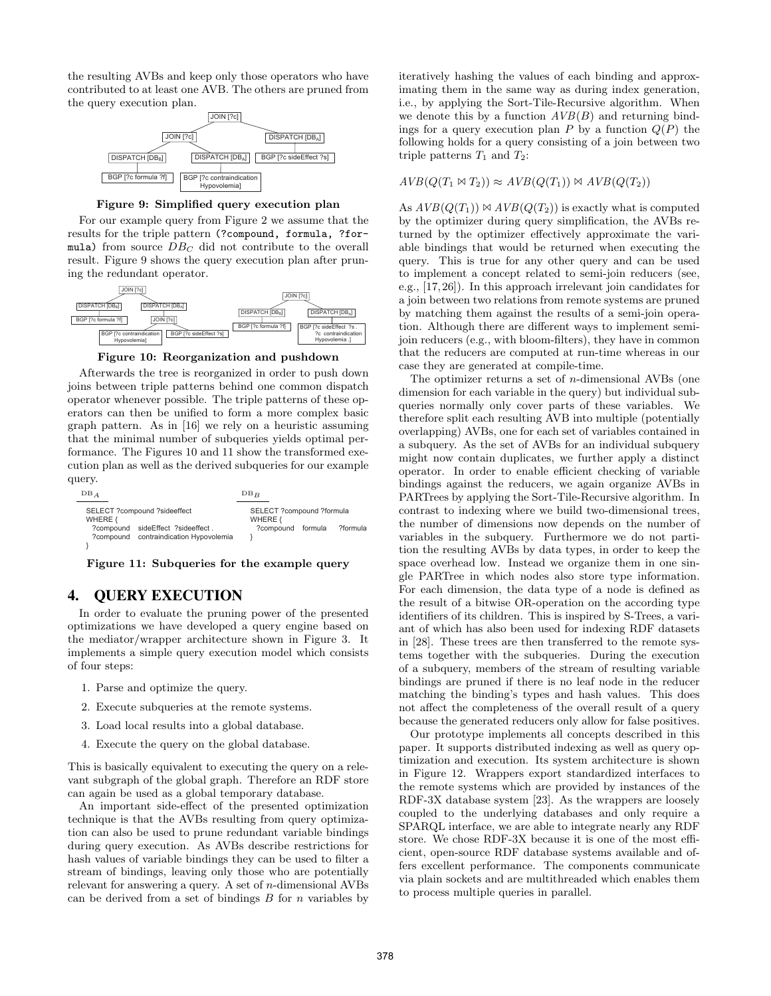the resulting AVBs and keep only those operators who have contributed to at least one AVB. The others are pruned from the query execution plan.



Figure 9: Simplified query execution plan

For our example query from Figure 2 we assume that the results for the triple pattern (?compound, formula, ?formula) from source  $DB_C$  did not contribute to the overall result. Figure 9 shows the query execution plan after pruning the redundant operator.



Figure 10: Reorganization and pushdown

Afterwards the tree is reorganized in order to push down joins between triple patterns behind one common dispatch operator whenever possible. The triple patterns of these operators can then be unified to form a more complex basic graph pattern. As in [16] we rely on a heuristic assuming that the minimal number of subqueries yields optimal performance. The Figures 10 and 11 show the transformed execution plan as well as the derived subqueries for our example query.



Figure 11: Subqueries for the example query

# 4. QUERY EXECUTION

In order to evaluate the pruning power of the presented optimizations we have developed a query engine based on the mediator/wrapper architecture shown in Figure 3. It implements a simple query execution model which consists of four steps:

- 1. Parse and optimize the query.
- 2. Execute subqueries at the remote systems.
- 3. Load local results into a global database.
- 4. Execute the query on the global database.

This is basically equivalent to executing the query on a relevant subgraph of the global graph. Therefore an RDF store can again be used as a global temporary database.

An important side-effect of the presented optimization technique is that the AVBs resulting from query optimization can also be used to prune redundant variable bindings during query execution. As AVBs describe restrictions for hash values of variable bindings they can be used to filter a stream of bindings, leaving only those who are potentially relevant for answering a query. A set of n-dimensional AVBs can be derived from a set of bindings  $B$  for  $n$  variables by iteratively hashing the values of each binding and approximating them in the same way as during index generation, i.e., by applying the Sort-Tile-Recursive algorithm. When we denote this by a function  $AVB(B)$  and returning bindings for a query execution plan P by a function  $Q(P)$  the following holds for a query consisting of a join between two triple patterns  $T_1$  and  $T_2$ :

 $AVB(Q(T_1 \bowtie T_2)) \approx AVB(Q(T_1)) \bowtie AVB(Q(T_2))$ 

As  $AVB(Q(T_1)) \bowtie AVB(Q(T_2))$  is exactly what is computed by the optimizer during query simplification, the AVBs returned by the optimizer effectively approximate the variable bindings that would be returned when executing the query. This is true for any other query and can be used to implement a concept related to semi-join reducers (see, e.g., [17,26]). In this approach irrelevant join candidates for a join between two relations from remote systems are pruned by matching them against the results of a semi-join operation. Although there are different ways to implement semijoin reducers (e.g., with bloom-filters), they have in common that the reducers are computed at run-time whereas in our case they are generated at compile-time.

The optimizer returns a set of n-dimensional AVBs (one dimension for each variable in the query) but individual subqueries normally only cover parts of these variables. We therefore split each resulting AVB into multiple (potentially overlapping) AVBs, one for each set of variables contained in a subquery. As the set of AVBs for an individual subquery might now contain duplicates, we further apply a distinct operator. In order to enable efficient checking of variable bindings against the reducers, we again organize AVBs in PARTrees by applying the Sort-Tile-Recursive algorithm. In contrast to indexing where we build two-dimensional trees, the number of dimensions now depends on the number of variables in the subquery. Furthermore we do not partition the resulting AVBs by data types, in order to keep the space overhead low. Instead we organize them in one single PARTree in which nodes also store type information. For each dimension, the data type of a node is defined as the result of a bitwise OR-operation on the according type identifiers of its children. This is inspired by S-Trees, a variant of which has also been used for indexing RDF datasets in [28]. These trees are then transferred to the remote systems together with the subqueries. During the execution of a subquery, members of the stream of resulting variable bindings are pruned if there is no leaf node in the reducer matching the binding's types and hash values. This does not affect the completeness of the overall result of a query because the generated reducers only allow for false positives.

Our prototype implements all concepts described in this paper. It supports distributed indexing as well as query optimization and execution. Its system architecture is shown in Figure 12. Wrappers export standardized interfaces to the remote systems which are provided by instances of the RDF-3X database system [23]. As the wrappers are loosely coupled to the underlying databases and only require a SPARQL interface, we are able to integrate nearly any RDF store. We chose RDF-3X because it is one of the most efficient, open-source RDF database systems available and offers excellent performance. The components communicate via plain sockets and are multithreaded which enables them to process multiple queries in parallel.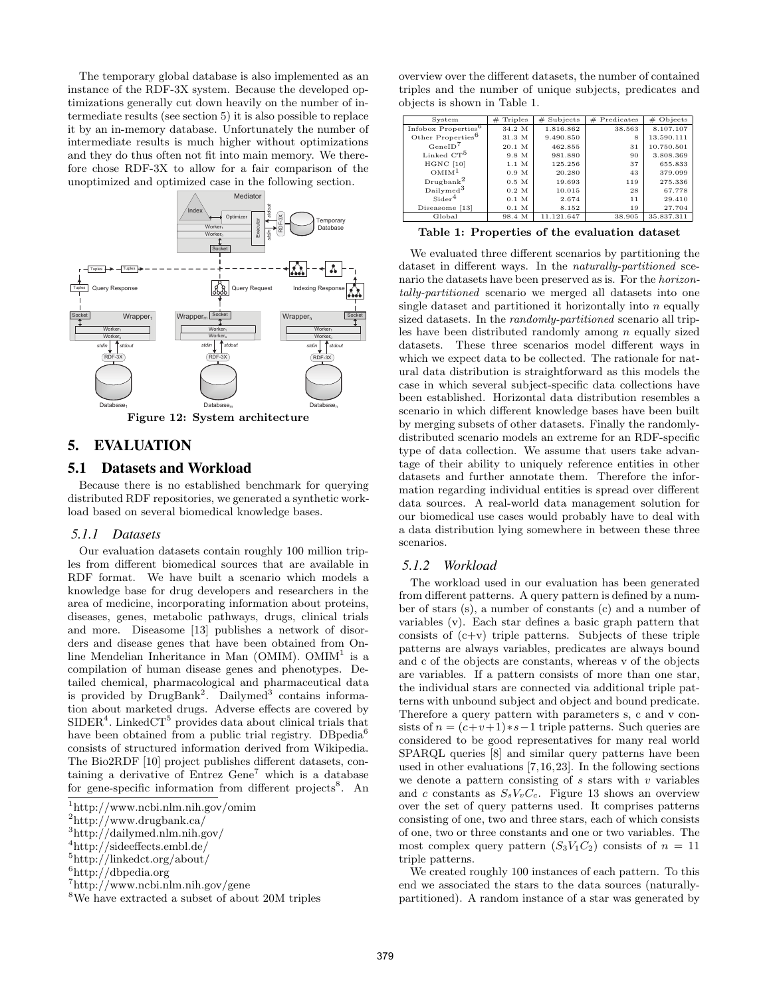The temporary global database is also implemented as an instance of the RDF-3X system. Because the developed optimizations generally cut down heavily on the number of intermediate results (see section 5) it is also possible to replace it by an in-memory database. Unfortunately the number of intermediate results is much higher without optimizations and they do thus often not fit into main memory. We therefore chose RDF-3X to allow for a fair comparison of the unoptimized and optimized case in the following section.



Figure 12: System architecture

# 5. EVALUATION

## 5.1 Datasets and Workload

Because there is no established benchmark for querying distributed RDF repositories, we generated a synthetic workload based on several biomedical knowledge bases.

#### *5.1.1 Datasets*

Our evaluation datasets contain roughly 100 million triples from different biomedical sources that are available in RDF format. We have built a scenario which models a knowledge base for drug developers and researchers in the area of medicine, incorporating information about proteins, diseases, genes, metabolic pathways, drugs, clinical trials and more. Diseasome [13] publishes a network of disorders and disease genes that have been obtained from Online Mendelian Inheritance in Man (OMIM). OMIM<sup>1</sup> is a compilation of human disease genes and phenotypes. Detailed chemical, pharmacological and pharmaceutical data is provided by  $DrugBank<sup>2</sup>$ . Dailymed<sup>3</sup> contains information about marketed drugs. Adverse effects are covered by  $\text{SIDER}^4$ . Linked $\text{CT}^5$  provides data about clinical trials that have been obtained from a public trial registry. DBpedia<sup>6</sup> consists of structured information derived from Wikipedia. The Bio2RDF [10] project publishes different datasets, containing a derivative of Entrez Gene<sup>7</sup> which is a database for gene-specific information from different projects<sup>8</sup>. An

overview over the different datasets, the number of contained triples and the number of unique subjects, predicates and objects is shown in Table 1.

| System                          | Triples<br>#     | Subjects<br># | $#$ Predicates | $#$ Objects |
|---------------------------------|------------------|---------------|----------------|-------------|
| Infobox Properties <sup>6</sup> | 34.2 M           | 1.816.862     | 38.563         | 8.107.107   |
| Other Properties <sup>6</sup>   | 31.3 M           | 9.490.850     | 8              | 13.590.111  |
| GenelD <sup>7</sup>             | 20.1 M           | 462.855       | 31             | 10.750.501  |
| Linked CT <sup>5</sup>          | 9.8 M            | 981.880       | 90             | 3.808.369   |
| $HGNC$ [10]                     | 1.1 M            | 125.256       | 37             | 655.833     |
| OMIM <sup>1</sup>               | 0.9 <sub>M</sub> | 20.280        | 43             | 379.099     |
| Drughank <sup>2</sup>           | 0.5 M            | 19.693        | 119            | 275.336     |
| Dailymed <sup>3</sup>           | 0.2 M            | 10.015        | 28             | 67.778      |
| $\operatorname{Sider}^4$        | 0.1 M            | 2.674         | 11             | 29.410      |
| Diseasome [13]                  | 0.1 M            | 8.152         | 19             | 27.704      |
| Global                          | 98.4 M           | 11.121.647    | 38.905         | 35.837.311  |

#### Table 1: Properties of the evaluation dataset

We evaluated three different scenarios by partitioning the dataset in different ways. In the *naturally-partitioned* scenario the datasets have been preserved as is. For the horizontally-partitioned scenario we merged all datasets into one single dataset and partitioned it horizontally into  $n$  equally sized datasets. In the randomly-partitioned scenario all triples have been distributed randomly among  $n$  equally sized datasets. These three scenarios model different ways in which we expect data to be collected. The rationale for natural data distribution is straightforward as this models the case in which several subject-specific data collections have been established. Horizontal data distribution resembles a scenario in which different knowledge bases have been built by merging subsets of other datasets. Finally the randomlydistributed scenario models an extreme for an RDF-specific type of data collection. We assume that users take advantage of their ability to uniquely reference entities in other datasets and further annotate them. Therefore the information regarding individual entities is spread over different data sources. A real-world data management solution for our biomedical use cases would probably have to deal with a data distribution lying somewhere in between these three scenarios.

## *5.1.2 Workload*

The workload used in our evaluation has been generated from different patterns. A query pattern is defined by a number of stars (s), a number of constants (c) and a number of variables (v). Each star defines a basic graph pattern that consists of  $(c+v)$  triple patterns. Subjects of these triple patterns are always variables, predicates are always bound and c of the objects are constants, whereas v of the objects are variables. If a pattern consists of more than one star, the individual stars are connected via additional triple patterns with unbound subject and object and bound predicate. Therefore a query pattern with parameters s, c and v consists of  $n = (c+v+1)*s-1$  triple patterns. Such queries are considered to be good representatives for many real world SPARQL queries [8] and similar query patterns have been used in other evaluations [7,16,23]. In the following sections we denote a pattern consisting of  $s$  stars with  $v$  variables and c constants as  $S_sV_vC_c$ . Figure 13 shows an overview over the set of query patterns used. It comprises patterns consisting of one, two and three stars, each of which consists of one, two or three constants and one or two variables. The most complex query pattern  $(S_3V_1C_2)$  consists of  $n = 11$ triple patterns.

We created roughly 100 instances of each pattern. To this end we associated the stars to the data sources (naturallypartitioned). A random instance of a star was generated by

<sup>1</sup>http://www.ncbi.nlm.nih.gov/omim

 $^{2}$ http://www.drugbank.ca/

<sup>3</sup>http://dailymed.nlm.nih.gov/

<sup>4</sup>http://sideeffects.embl.de/

<sup>5</sup>http://linkedct.org/about/

 $6$ http://dbpedia.org

<sup>7</sup>http://www.ncbi.nlm.nih.gov/gene

<sup>8</sup>We have extracted a subset of about 20M triples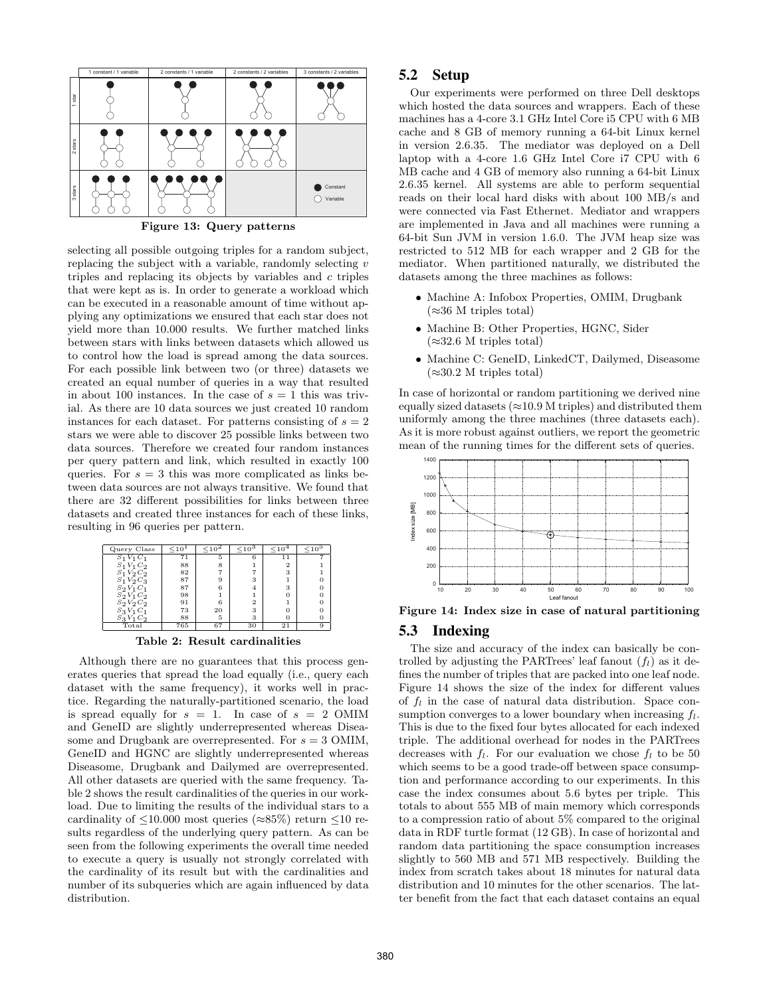

Figure 13: Query patterns

selecting all possible outgoing triples for a random subject, replacing the subject with a variable, randomly selecting  $v$ triples and replacing its objects by variables and  $c$  triples that were kept as is. In order to generate a workload which can be executed in a reasonable amount of time without applying any optimizations we ensured that each star does not yield more than 10.000 results. We further matched links between stars with links between datasets which allowed us to control how the load is spread among the data sources. For each possible link between two (or three) datasets we created an equal number of queries in a way that resulted in about 100 instances. In the case of  $s = 1$  this was trivial. As there are 10 data sources we just created 10 random instances for each dataset. For patterns consisting of  $s = 2$ stars we were able to discover 25 possible links between two data sources. Therefore we created four random instances per query pattern and link, which resulted in exactly 100 queries. For  $s = 3$  this was more complicated as links between data sources are not always transitive. We found that there are 32 different possibilities for links between three datasets and created three instances for each of these links, resulting in 96 queries per pattern.

| Query Class |     |    |                |                |   |
|-------------|-----|----|----------------|----------------|---|
| $S_1V_1C_1$ | 71  | 5  | 6              | 11             |   |
| $S_1V_1C_2$ | 88  | 8  |                | $\overline{2}$ |   |
| $S_1V_2C_2$ | 82  |    |                | 3              |   |
| $S_1V_2C_3$ | 87  | 9  | 3              |                | 0 |
| $S_2V_1C_1$ | 87  | 6  | 4              | 3              | 0 |
| $S_2V_1C_2$ | 98  |    |                | O              | 0 |
| $S_2V_2C_2$ | 91  | 6  | $\overline{2}$ |                | 0 |
| $S_3V_1C_1$ | 73  | 20 | 3              | O              |   |
| $S_3V_1C_2$ | 88  | 5  | 3              |                |   |
| Total       | 765 | 67 | 30             | 21             | a |

Table 2: Result cardinalities

Although there are no guarantees that this process generates queries that spread the load equally (i.e., query each dataset with the same frequency), it works well in practice. Regarding the naturally-partitioned scenario, the load is spread equally for  $s = 1$ . In case of  $s = 2$  OMIM and GeneID are slightly underrepresented whereas Diseasome and Drugbank are overrepresented. For  $s = 3$  OMIM, GeneID and HGNC are slightly underrepresented whereas Diseasome, Drugbank and Dailymed are overrepresented. All other datasets are queried with the same frequency. Table 2 shows the result cardinalities of the queries in our workload. Due to limiting the results of the individual stars to a cardinality of  $\leq 10.000$  most queries (≈85%) return  $\leq 10$  results regardless of the underlying query pattern. As can be seen from the following experiments the overall time needed to execute a query is usually not strongly correlated with the cardinality of its result but with the cardinalities and number of its subqueries which are again influenced by data distribution.

## 5.2 Setup

Our experiments were performed on three Dell desktops which hosted the data sources and wrappers. Each of these machines has a 4-core 3.1 GHz Intel Core i5 CPU with 6 MB cache and 8 GB of memory running a 64-bit Linux kernel in version 2.6.35. The mediator was deployed on a Dell laptop with a 4-core 1.6 GHz Intel Core i7 CPU with 6 MB cache and 4 GB of memory also running a 64-bit Linux 2.6.35 kernel. All systems are able to perform sequential reads on their local hard disks with about 100 MB/s and were connected via Fast Ethernet. Mediator and wrappers are implemented in Java and all machines were running a 64-bit Sun JVM in version 1.6.0. The JVM heap size was restricted to 512 MB for each wrapper and 2 GB for the mediator. When partitioned naturally, we distributed the datasets among the three machines as follows:

- Machine A: Infobox Properties, OMIM, Drugbank  $(\approx 36$  M triples total)
- Machine B: Other Properties, HGNC, Sider  $(\approx 32.6$  M triples total)
- Machine C: GeneID, LinkedCT, Dailymed, Diseasome  $(\approx 30.2$  M triples total)

In case of horizontal or random partitioning we derived nine equally sized datasets ( $\approx$ 10.9 M triples) and distributed them uniformly among the three machines (three datasets each). As it is more robust against outliers, we report the geometric mean of the running times for the different sets of queries.



Figure 14: Index size in case of natural partitioning

## 5.3 Indexing

The size and accuracy of the index can basically be controlled by adjusting the PARTrees' leaf fanout  $(f_l)$  as it defines the number of triples that are packed into one leaf node. Figure 14 shows the size of the index for different values of  $f_l$  in the case of natural data distribution. Space consumption converges to a lower boundary when increasing  $f_l$ . This is due to the fixed four bytes allocated for each indexed triple. The additional overhead for nodes in the PARTrees decreases with  $f_l$ . For our evaluation we chose  $f_l$  to be 50 which seems to be a good trade-off between space consumption and performance according to our experiments. In this case the index consumes about 5.6 bytes per triple. This totals to about 555 MB of main memory which corresponds to a compression ratio of about 5% compared to the original data in RDF turtle format (12 GB). In case of horizontal and random data partitioning the space consumption increases slightly to 560 MB and 571 MB respectively. Building the index from scratch takes about 18 minutes for natural data distribution and 10 minutes for the other scenarios. The latter benefit from the fact that each dataset contains an equal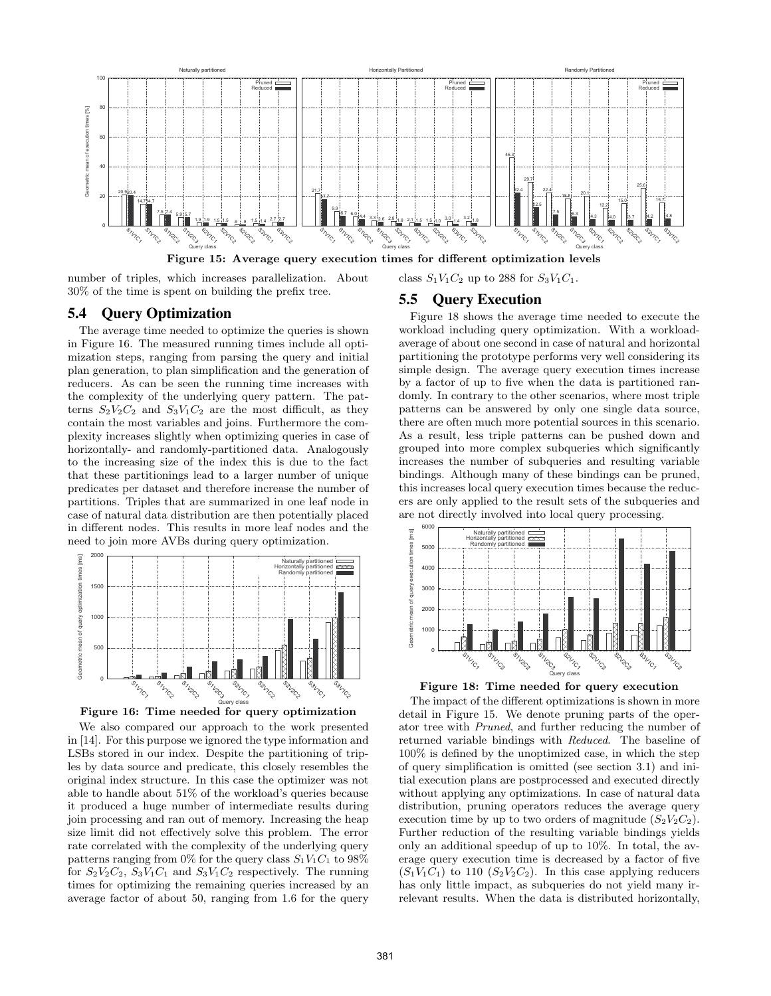

Figure 15: Average query execution times for different optimization levels

number of triples, which increases parallelization. About 30% of the time is spent on building the prefix tree.

# 5.4 Query Optimization

The average time needed to optimize the queries is shown in Figure 16. The measured running times include all optimization steps, ranging from parsing the query and initial plan generation, to plan simplification and the generation of reducers. As can be seen the running time increases with the complexity of the underlying query pattern. The patterns  $S_2V_2C_2$  and  $S_3V_1C_2$  are the most difficult, as they contain the most variables and joins. Furthermore the complexity increases slightly when optimizing queries in case of horizontally- and randomly-partitioned data. Analogously to the increasing size of the index this is due to the fact that these partitionings lead to a larger number of unique predicates per dataset and therefore increase the number of partitions. Triples that are summarized in one leaf node in case of natural data distribution are then potentially placed in different nodes. This results in more leaf nodes and the need to join more AVBs during query optimization.





We also compared our approach to the work presented in [14]. For this purpose we ignored the type information and LSBs stored in our index. Despite the partitioning of triples by data source and predicate, this closely resembles the original index structure. In this case the optimizer was not able to handle about 51% of the workload's queries because it produced a huge number of intermediate results during join processing and ran out of memory. Increasing the heap size limit did not effectively solve this problem. The error rate correlated with the complexity of the underlying query patterns ranging from 0% for the query class  $S_1V_1C_1$  to 98% for  $S_2V_2C_2$ ,  $S_3V_1C_1$  and  $S_3V_1C_2$  respectively. The running times for optimizing the remaining queries increased by an average factor of about 50, ranging from 1.6 for the query class  $S_1V_1C_2$  up to 288 for  $S_3V_1C_1$ .

# 5.5 Query Execution

Figure 18 shows the average time needed to execute the workload including query optimization. With a workloadaverage of about one second in case of natural and horizontal partitioning the prototype performs very well considering its simple design. The average query execution times increase by a factor of up to five when the data is partitioned randomly. In contrary to the other scenarios, where most triple patterns can be answered by only one single data source, there are often much more potential sources in this scenario. As a result, less triple patterns can be pushed down and grouped into more complex subqueries which significantly increases the number of subqueries and resulting variable bindings. Although many of these bindings can be pruned, this increases local query execution times because the reducers are only applied to the result sets of the subqueries and are not directly involved into local query processing.



Figure 18: Time needed for query execution

The impact of the different optimizations is shown in more detail in Figure 15. We denote pruning parts of the operator tree with Pruned, and further reducing the number of returned variable bindings with Reduced. The baseline of 100% is defined by the unoptimized case, in which the step of query simplification is omitted (see section 3.1) and initial execution plans are postprocessed and executed directly without applying any optimizations. In case of natural data distribution, pruning operators reduces the average query execution time by up to two orders of magnitude  $(S_2V_2C_2)$ . Further reduction of the resulting variable bindings yields only an additional speedup of up to 10%. In total, the average query execution time is decreased by a factor of five  $(S_1V_1C_1)$  to 110  $(S_2V_2C_2)$ . In this case applying reducers has only little impact, as subqueries do not yield many irrelevant results. When the data is distributed horizontally,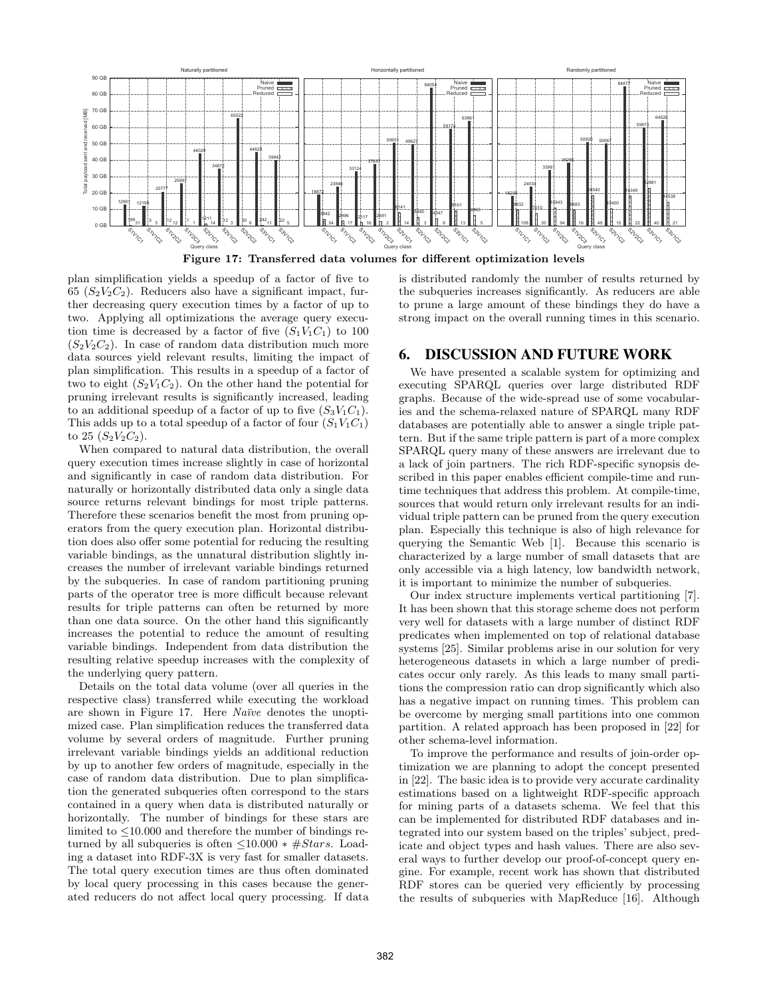

Figure 17: Transferred data volumes for different optimization levels

plan simplification yields a speedup of a factor of five to  $65 (S_2V_2C_2)$ . Reducers also have a significant impact, further decreasing query execution times by a factor of up to two. Applying all optimizations the average query execution time is decreased by a factor of five  $(S_1V_1C_1)$  to 100  $(S_2V_2C_2)$ . In case of random data distribution much more data sources yield relevant results, limiting the impact of plan simplification. This results in a speedup of a factor of two to eight  $(S_2V_1C_2)$ . On the other hand the potential for pruning irrelevant results is significantly increased, leading to an additional speedup of a factor of up to five  $(S_3V_1C_1)$ . This adds up to a total speedup of a factor of four  $(S_1V_1C_1)$ to 25  $(S_2V_2C_2)$ .

When compared to natural data distribution, the overall query execution times increase slightly in case of horizontal and significantly in case of random data distribution. For naturally or horizontally distributed data only a single data source returns relevant bindings for most triple patterns. Therefore these scenarios benefit the most from pruning operators from the query execution plan. Horizontal distribution does also offer some potential for reducing the resulting variable bindings, as the unnatural distribution slightly increases the number of irrelevant variable bindings returned by the subqueries. In case of random partitioning pruning parts of the operator tree is more difficult because relevant results for triple patterns can often be returned by more than one data source. On the other hand this significantly increases the potential to reduce the amount of resulting variable bindings. Independent from data distribution the resulting relative speedup increases with the complexity of the underlying query pattern.

Details on the total data volume (over all queries in the respective class) transferred while executing the workload are shown in Figure 17. Here Naïve denotes the unoptimized case. Plan simplification reduces the transferred data volume by several orders of magnitude. Further pruning irrelevant variable bindings yields an additional reduction by up to another few orders of magnitude, especially in the case of random data distribution. Due to plan simplification the generated subqueries often correspond to the stars contained in a query when data is distributed naturally or horizontally. The number of bindings for these stars are limited to  $\leq$ 10.000 and therefore the number of bindings returned by all subqueries is often  $\leq 10.000 * \# Stars$ . Loading a dataset into RDF-3X is very fast for smaller datasets. The total query execution times are thus often dominated by local query processing in this cases because the generated reducers do not affect local query processing. If data is distributed randomly the number of results returned by the subqueries increases significantly. As reducers are able to prune a large amount of these bindings they do have a strong impact on the overall running times in this scenario.

# 6. DISCUSSION AND FUTURE WORK

We have presented a scalable system for optimizing and executing SPARQL queries over large distributed RDF graphs. Because of the wide-spread use of some vocabularies and the schema-relaxed nature of SPARQL many RDF databases are potentially able to answer a single triple pattern. But if the same triple pattern is part of a more complex SPARQL query many of these answers are irrelevant due to a lack of join partners. The rich RDF-specific synopsis described in this paper enables efficient compile-time and runtime techniques that address this problem. At compile-time, sources that would return only irrelevant results for an individual triple pattern can be pruned from the query execution plan. Especially this technique is also of high relevance for querying the Semantic Web [1]. Because this scenario is characterized by a large number of small datasets that are only accessible via a high latency, low bandwidth network, it is important to minimize the number of subqueries.

Our index structure implements vertical partitioning [7]. It has been shown that this storage scheme does not perform very well for datasets with a large number of distinct RDF predicates when implemented on top of relational database systems [25]. Similar problems arise in our solution for very heterogeneous datasets in which a large number of predicates occur only rarely. As this leads to many small partitions the compression ratio can drop significantly which also has a negative impact on running times. This problem can be overcome by merging small partitions into one common partition. A related approach has been proposed in [22] for other schema-level information.

To improve the performance and results of join-order optimization we are planning to adopt the concept presented in [22]. The basic idea is to provide very accurate cardinality estimations based on a lightweight RDF-specific approach for mining parts of a datasets schema. We feel that this can be implemented for distributed RDF databases and integrated into our system based on the triples' subject, predicate and object types and hash values. There are also several ways to further develop our proof-of-concept query engine. For example, recent work has shown that distributed RDF stores can be queried very efficiently by processing the results of subqueries with MapReduce [16]. Although